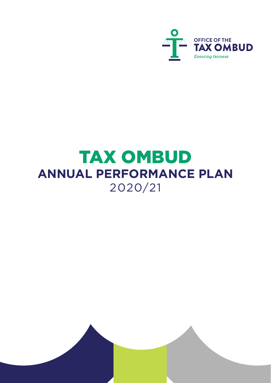

## **ANNUAL PERFORMANCE PLAN** TAX OMBUD 2020/21

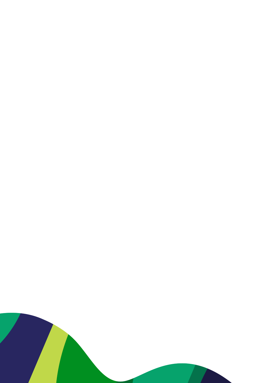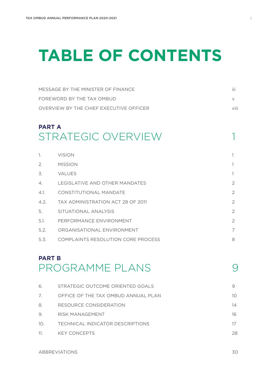# **TABLE OF CONTENTS**

|                       | MESSAGE BY THE MINISTER OF FINANCE      | iii.   |  |  |  |  |
|-----------------------|-----------------------------------------|--------|--|--|--|--|
|                       | FOREWORD BY THE TAX OMBUD               | $\vee$ |  |  |  |  |
|                       | OVERVIEW BY THE CHIEF EXECUTIVE OFFICER |        |  |  |  |  |
| <b>PART A</b>         | STRATEGIC OVERVIEW                      |        |  |  |  |  |
| 1.                    | <b>VISION</b>                           | 1      |  |  |  |  |
| 2.                    | <b>MISSION</b>                          | 1      |  |  |  |  |
| 3.                    | <b>VALUES</b>                           | 1      |  |  |  |  |
| $\mathcal{A}_{\cdot}$ | LEGISLATIVE AND OTHER MANDATES          | 2      |  |  |  |  |
| 4.1.                  | CONSTITUTIONAL MANDATE                  | 2      |  |  |  |  |
| 4.2.                  | TAX ADMINISTRATION ACT 28 OF 2011       | 2      |  |  |  |  |
| 5.                    | SITUATIONAL ANALYSIS                    | 2      |  |  |  |  |
| 5.1.                  | PERFORMANCE ENVIRONMENT                 | 2      |  |  |  |  |
| 5.2.                  | ORGANISATIONAL ENVIRONMENT              | 7      |  |  |  |  |
| 5.3.                  | COMPLAINTS RESOLUTION CORE PROCESS      | 8      |  |  |  |  |

### **PART B** PROGRAMME PLANS 9

| 6.  | STRATEGIC OUTCOME ORIENTED GOALS    |    |
|-----|-------------------------------------|----|
| 7   | OFFICE OF THE TAX OMBUD ANNUAL PLAN | 10 |
| 8.  | RESOURCE CONSIDERATION              | 14 |
| 9.  | RISK MANAGEMENT                     | 16 |
| 10. | TECHNICAL INDICATOR DESCRIPTIONS    | 17 |
| 11. | <b>KEY CONCEPTS</b>                 | 28 |
|     |                                     |    |

ABBREVIATIONS 30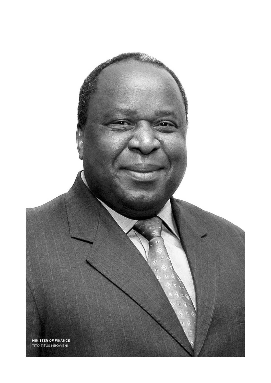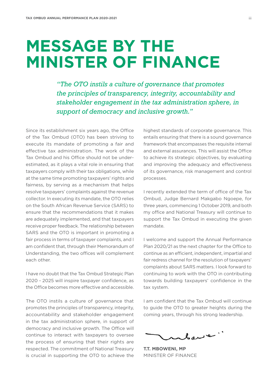# **MESSAGE BY THE MINISTER OF FINANCE**

*"The OTO instils a culture of governance that promotes the principles of transparency, integrity, accountability and stakeholder engagement in the tax administration sphere, in support of democracy and inclusive growth."*

Since its establishment six years ago, the Office of the Tax Ombud (OTO) has been striving to execute its mandate of promoting a fair and effective tax administration. The work of the Tax Ombud and his Office should not be underestimated, as it plays a vital role in ensuring that taxpayers comply with their tax obligations, while at the same time promoting taxpayers' rights and fairness, by serving as a mechanism that helps resolve taxpayers' complaints against the revenue collector. In executing its mandate, the OTO relies on the South African Revenue Service (SARS) to ensure that the recommendations that it makes are adequately implemented, and that taxpayers receive proper feedback. The relationship between SARS and the OTO is important in promoting a fair process in terms of taxpayer complaints, and I am confident that, through their Memorandum of Understanding, the two offices will complement each other.

I have no doubt that the Tax Ombud Strategic Plan 2020 - 2025 will inspire taxpayer confidence, as the Office becomes more effective and accessible.

The OTO instils a culture of governance that promotes the principles of transparency, integrity, accountability and stakeholder engagement in the tax administration sphere, in support of democracy and inclusive growth. The Office will continue to interact with taxpayers to oversee the process of ensuring that their rights are respected. The commitment of National Treasury is crucial in supporting the OTO to achieve the

highest standards of corporate governance. This entails ensuring that there is a sound governance framework that encompasses the requisite internal and external assurances. This will assist the Office to achieve its strategic objectives, by evaluating and improving the adequacy and effectiveness of its governance, risk management and control processes.

I recently extended the term of office of the Tax Ombud, Judge Bernard Makgabo Ngoepe, for three years, commencing 1 October 2019, and both my office and National Treasury will continue to support the Tax Ombud in executing the given mandate.

I welcome and support the Annual Performance Plan 2020/21 as the next chapter for the Office to continue as an efficient, independent, impartial and fair redress channel for the resolution of taxpayers' complaints about SARS matters. I look forward to continuing to work with the OTO in contributing towards building taxpayers' confidence in the tax system.

I am confident that the Tax Ombud will continue to guide the OTO to greater heights during the coming years, through his strong leadership.

inhere"

**T.T. MBOWENI, MP** MINISTER OF FINANCE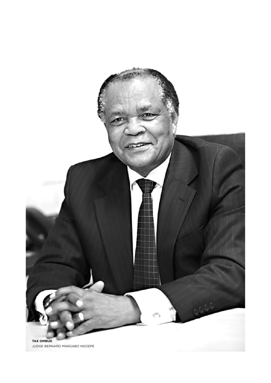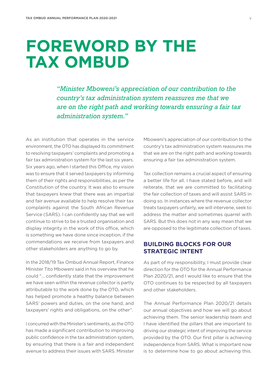# **FOREWORD BY THE TAX OMBUD**

*"Minister Mboweni's appreciation of our contribution to the country's tax administration system reassures me that we are on the right path and working towards ensuring a fair tax administration system."*

As an institution that operates in the service environment, the OTO has displayed its commitment to resolving taxpayers' complaints and promoting a fair tax administration system for the last six years. Six years ago, when I started this Office, my vision was to ensure that it served taxpayers by informing them of their rights and responsibilities, as per the Constitution of the country. It was also to ensure that taxpayers knew that there was an impartial and fair avenue available to help resolve their tax complaints against the South African Revenue Service (SARS). I can confidently say that we will continue to strive to be a trusted organisation and display integrity in the work of this office, which is something we have done since inception, if the commendations we receive from taxpayers and other stakeholders are anything to go by.

In the 2018/19 Tax Ombud Annual Report, Finance Minister Tito Mboweni said in his overview that he could "… confidently state that the improvement we have seen within the revenue collector is partly attributable to the work done by the OTO, which has helped promote a healthy balance between SARS' powers and duties, on the one hand, and taxpayers' rights and obligations, on the other".

I concurred with the Minister's sentiments, as the OTO has made a significant contribution to improving public confidence in the tax administration system, by ensuring that there is a fair and independent avenue to address their issues with SARS. Minister Mboweni's appreciation of our contribution to the country's tax administration system reassures me that we are on the right path and working towards ensuring a fair tax administration system.

Tax collection remains a crucial aspect of ensuring a better life for all. I have stated before, and will reiterate, that we are committed to facilitating the fair collection of taxes and will assist SARS in doing so. In instances where the revenue collector treats taxpayers unfairly, we will intervene, seek to address the matter and sometimes quarrel with SARS. But this does not in any way mean that we are opposed to the legitimate collection of taxes.

#### **BUILDING BLOCKS FOR OUR STRATEGIC INTENT**

As part of my responsibility, I must provide clear direction for the OTO for the Annual Performance Plan 2020/21, and I would like to ensure that the OTO continues to be respected by all taxpayers and other stakeholders.

The Annual Performance Plan 2020/21 details our annual objectives and how we will go about achieving them. The senior leadership team and I have identified the pillars that are important to driving our strategic intent of improving the service provided by the OTO. Our first pillar is achieving independence from SARS. What is important now is to determine how to go about achieving this.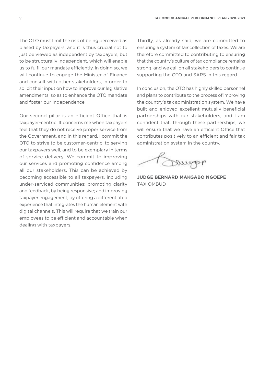The OTO must limit the risk of being perceived as biased by taxpayers, and it is thus crucial not to just be viewed as independent by taxpayers, but to be structurally independent, which will enable us to fulfil our mandate efficiently. In doing so, we will continue to engage the Minister of Finance and consult with other stakeholders, in order to solicit their input on how to improve our legislative amendments, so as to enhance the OTO mandate and foster our independence.

Our second pillar is an efficient Office that is taxpayer-centric. It concerns me when taxpayers feel that they do not receive proper service from the Government, and in this regard, I commit the OTO to strive to be customer-centric, to serving our taxpayers well, and to be exemplary in terms of service delivery. We commit to improving our services and promoting confidence among all our stakeholders. This can be achieved by becoming accessible to all taxpayers, including under-serviced communities; promoting clarity and feedback, by being responsive; and improving taxpayer engagement, by offering a differentiated experience that integrates the human element with digital channels. This will require that we train our employees to be efficient and accountable when dealing with taxpayers.

Thirdly, as already said, we are committed to ensuring a system of fair collection of taxes. We are therefore committed to contributing to ensuring that the country's culture of tax compliance remains strong, and we call on all stakeholders to continue supporting the OTO and SARS in this regard.

In conclusion, the OTO has highly skilled personnel and plans to contribute to the process of improving the country's tax administration system. We have built and enjoyed excellent mutually beneficial partnerships with our stakeholders, and I am confident that, through these partnerships, we will ensure that we have an efficient Office that contributes positively to an efficient and fair tax administration system in the country.

Daugpp

**JUDGE BERNARD MAKGABO NGOEPE** TAX OMBUD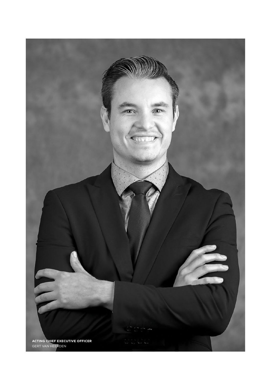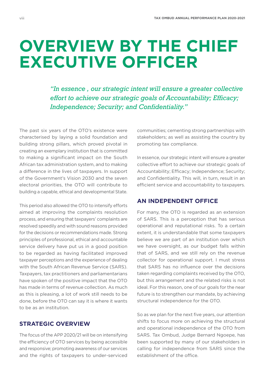# **OVERVIEW BY THE CHIEF EXECUTIVE OFFICER**

*"In essence , our strategic intent will ensure a greater collective effort to achieve our strategic goals of Accountability; Efficacy; Independence; Security; and Confidentiality."*

The past six years of the OTO's existence were characterised by laying a solid foundation and building strong pillars, which proved pivotal in creating an exemplary institution that is committed to making a significant impact on the South African tax administration system, and to making a difference in the lives of taxpayers. In support of the Government's Vision 2030 and the seven electoral priorities, the OTO will contribute to building a capable, ethical and developmental State.

This period also allowed the OTO to intensify efforts aimed at improving the complaints resolution process, and ensuring that taxpayers' complaints are resolved speedily and with sound reasons provided for the decisions or recommendations made. Strong principles of professional, ethical and accountable service delivery have put us in a good position to be regarded as having facilitated improved taxpayer perceptions and the experience of dealing with the South African Revenue Service (SARS). Taxpayers, tax practitioners and parliamentarians have spoken of the positive impact that the OTO has made in terms of revenue collection. As much as this is pleasing, a lot of work still needs to be done, before the OTO can say it is where it wants to be as an institution.

#### **STRATEGIC OVERVIEW**

The focus of the APP 2020/21 will be on intensifying the efficiency of OTO services by being accessible and responsive; promoting awareness of our services and the rights of taxpayers to under-serviced communities; cementing strong partnerships with stakeholders; as well as assisting the country by promoting tax compliance.

In essence, our strategic intent will ensure a greater collective effort to achieve our strategic goals of Accountability; Efficacy; Independence; Security; and Confidentiality. This will, in turn, result in an efficient service and accountability to taxpayers.

#### **AN INDEPENDENT OFFICE**

For many, the OTO is regarded as an extension of SARS. This is a perception that has serious operational and reputational risks. To a certain extent, it is understandable that some taxpayers believe we are part of an institution over which we have oversight, as our budget falls within that of SARS, and we still rely on the revenue collector for operational support. I must stress that SARS has no influence over the decisions taken regarding complaints received by the OTO, but this arrangement and the related risks is not ideal. For this reason, one of our goals for the near future is to strengthen our mandate, by achieving structural independence for the OTO.

So as we plan for the next five years, our attention shifts to focus more on achieving the structural and operational independence of the OTO from SARS. Tax Ombud, Judge Bernard Ngoepe, has been supported by many of our stakeholders in calling for independence from SARS since the establishment of the office.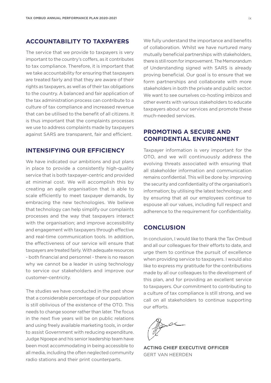#### **ACCOUNTABILITY TO TAXPAYERS**

The service that we provide to taxpayers is very important to the country's coffers, as it contributes to tax compliance. Therefore, it is important that we take accountability for ensuring that taxpayers are treated fairly and that they are aware of their rights as taxpayers, as well as of their tax obligations to the country. A balanced and fair application of the tax administration process can contribute to a culture of tax compliance and increased revenue that can be utilised to the benefit of all citizens. It is thus important that the complaints processes we use to address complaints made by taxpayers against SARS are transparent, fair and efficient.

#### **INTENSIFYING OUR EFFICIENCY**

We have indicated our ambitions and put plans in place to provide a consistently high-quality service that is both taxpayer-centric and provided at minimal cost. We will accomplish this by creating an agile organisation that is able to scale efficiently to meet taxpayer demands, by embracing the new technologies. We believe that technology can help simplify our complaints processes and the way that taxpayers interact with the organisation; and improve accessibility and engagement with taxpayers through effective and real-time communication tools. In addition, the effectiveness of our service will ensure that taxpayers are treated fairly. With adequate resources - both financial and personnel - there is no reason why we cannot be a leader in using technology to service our stakeholders and improve our customer-centricity.

The studies we have conducted in the past show that a considerable percentage of our population is still oblivious of the existence of the OTO. This needs to change sooner rather than later. The focus in the next five years will be on public relations and using freely available marketing tools, in order to assist Government with reducing expenditure. Judge Ngoepe and his senior leadership team have been most accommodating in being accessible to all media, including the often neglected community radio stations and their print counterparts.

We fully understand the importance and benefits of collaboration. Whilst we have nurtured many mutually beneficial partnerships with stakeholders, there is still room for improvement. The Memorandum of Understanding signed with SARS is already proving beneficial. Our goal is to ensure that we form partnerships and collaborate with more stakeholders in both the private and public sector. We want to see ourselves co-hosting imbizos and other events with various stakeholders to educate taxpayers about our services and promote these much-needed services.

#### **PROMOTING A SECURE AND CONFIDENTIAL ENVIRONMENT**

Taxpayer information is very important for the OTO, and we will continuously address the evolving threats associated with ensuring that all stakeholder information and communication remains confidential. This will be done by: improving the security and confidentiality of the organisation's information; by utilising the latest technology; and by ensuring that all our employees continue to espouse all our values, including full respect and adherence to the requirement for confidentiality.

#### **CONCLUSION**

In conclusion, I would like to thank the Tax Ombud and all our colleagues for their efforts to date, and urge them to continue the pursuit of excellence when providing service to taxpayers. I would also like to express my gratitude for the contributions made by all our colleagues to the development of this plan, and for providing an excellent service to taxpayers. Our commitment to contributing to a culture of tax compliance is still strong, and we call on all stakeholders to continue supporting our efforts.

Rece

**ACTING CHIEF EXECUTIVE OFFICER** GERT VAN HEERDEN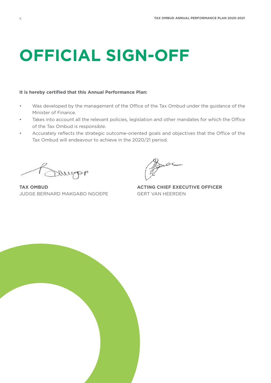# **OFFICIAL SIGN-OFF**

#### **It is hereby certified that this Annual Performance Plan:**

- Was developed by the management of the Office of the Tax Ombud under the guidance of the Minister of Finance.
- Takes into account all the relevant policies, legislation and other mandates for which the Office of the Tax Ombud is responsible.
- Accurately reflects the strategic outcome-oriented goals and objectives that the Office of the Tax Ombud will endeavour to achieve in the 2020/21 period.

Duypp

**TAX OMBUD** JUDGE BERNARD MAKGABO NGOEPE

**ACTING CHIEF EXECUTIVE OFFICER** GERT VAN HEERDEN

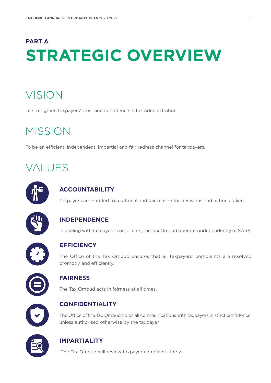## **STRATEGIC OVERVIEW PART A**

## VISION

To strengthen taxpayers' trust and confidence in tax administration.

## MISSION

To be an efficient, independent, impartial and fair redress channel for taxpayers.

## VALUES



#### **ACCOUNTABILITY**

Taxpayers are entitled to a rational and fair reason for decisions and actions taken.



#### **INDEPENDENCE**

In dealing with taxpayers' complaints, the Tax Ombud operates independently of SARS.



#### **EFFICIENCY**

The Office of the Tax Ombud ensures that all taxpayers' complaints are resolved promptly and efficiently.



#### **FAIRNESS**

The Tax Ombud acts in fairness at all times.

#### **CONFIDENTIALITY**

The Office of the Tax Ombud holds all communications with taxpayers in strict confidence, unless authorised otherwise by the taxpayer.



#### **IMPARTIALITY**

The Tax Ombud will review taxpayer complaints fairly.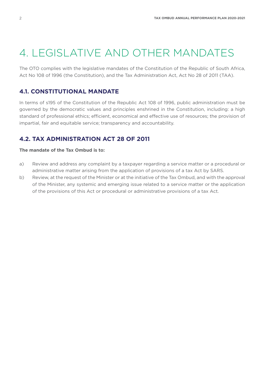## 4. LEGISLATIVE AND OTHER MANDATES

The OTO complies with the legislative mandates of the Constitution of the Republic of South Africa, Act No 108 of 1996 (the Constitution), and the Tax Administration Act, Act No 28 of 2011 (TAA).

#### **4.1. CONSTITUTIONAL MANDATE**

In terms of s195 of the Constitution of the Republic Act 108 of 1996, public administration must be governed by the democratic values and principles enshrined in the Constitution, including: a high standard of professional ethics; efficient, economical and effective use of resources; the provision of impartial, fair and equitable service; transparency and accountability.

#### **4.2. TAX ADMINISTRATION ACT 28 OF 2011**

#### **The mandate of the Tax Ombud is to:**

- a) Review and address any complaint by a taxpayer regarding a service matter or a procedural or administrative matter arising from the application of provisions of a tax Act by SARS.
- b) Review, at the request of the Minister or at the initiative of the Tax Ombud, and with the approval of the Minister, any systemic and emerging issue related to a service matter or the application of the provisions of this Act or procedural or administrative provisions of a tax Act.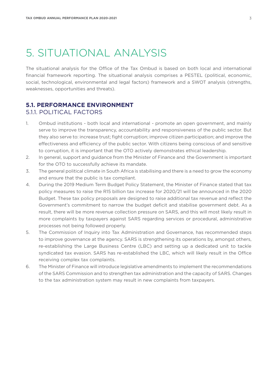## 5. SITUATIONAL ANALYSIS

The situational analysis for the Office of the Tax Ombud is based on both local and international financial framework reporting. The situational analysis comprises a PESTEL (political, economic, social, technological, environmental and legal factors) framework and a SWOT analysis (strengths, weaknesses, opportunities and threats).

#### **5.1. PERFORMANCE ENVIRONMENT** 5.1.1. POLITICAL FACTORS

- 1. Ombud institutions both local and international promote an open government, and mainly serve to improve the transparency, accountability and responsiveness of the public sector. But they also serve to: increase trust; fight corruption; improve citizen participation; and improve the effectiveness and efficiency of the public sector. With citizens being conscious of and sensitive to corruption, it is important that the OTO actively demonstrates ethical leadership.
- 2. In general, support and guidance from the Minister of Finance and the Government is important for the OTO to successfully achieve its mandate.
- 3. The general political climate in South Africa is stabilising and there is a need to grow the economy and ensure that the public is tax compliant.
- 4. During the 2019 Medium Term Budget Policy Statement, the Minister of Finance stated that tax policy measures to raise the R15 billion tax increase for 2020/21 will be announced in the 2020 Budget. These tax policy proposals are designed to raise additional tax revenue and reflect the Government's commitment to narrow the budget deficit and stabilise government debt. As a result, there will be more revenue collection pressure on SARS, and this will most likely result in more complaints by taxpayers against SARS regarding services or procedural, administrative processes not being followed properly.
- 5. The Commission of Inquiry into Tax Administration and Governance, has recommended steps to improve governance at the agency. SARS is strengthening its operations by, amongst others, re-establishing the Large Business Centre (LBC) and setting up a dedicated unit to tackle syndicated tax evasion. SARS has re-established the LBC, which will likely result in the Office receiving complex tax complaints.
- 6. The Minister of Finance will introduce legislative amendments to implement the recommendations of the SARS Commission and to strengthen tax administration and the capacity of SARS. Changes to the tax administration system may result in new complaints from taxpayers.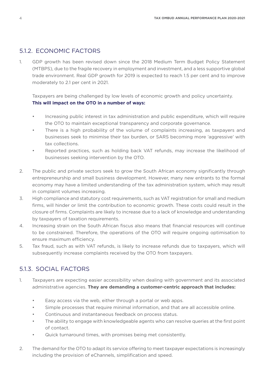#### 5.1.2. ECONOMIC FACTORS

1. GDP growth has been revised down since the 2018 Medium Term Budget Policy Statement (MTBPS), due to the fragile recovery in employment and investment, and a less supportive global trade environment. Real GDP growth for 2019 is expected to reach 1.5 per cent and to improve moderately to 2.1 per cent in 2021.

Taxpayers are being challenged by low levels of economic growth and policy uncertainty. **This will impact on the OTO in a number of ways:**

- Increasing public interest in tax administration and public expenditure, which will require the OTO to maintain exceptional transparency and corporate governance.
- There is a high probability of the volume of complaints increasing, as taxpayers and businesses seek to minimise their tax burden, or SARS becoming more 'aggressive' with tax collections.
- Reported practices, such as holding back VAT refunds, may increase the likelihood of businesses seeking intervention by the OTO.
- 2. The public and private sectors seek to grow the South African economy significantly through entrepreneurship and small business development. However, many new entrants to the formal economy may have a limited understanding of the tax administration system, which may result in complaint volumes increasing.
- 3. High compliance and statutory cost requirements, such as VAT registration for small and medium firms, will hinder or limit the contribution to economic growth. These costs could result in the closure of firms. Complaints are likely to increase due to a lack of knowledge and understanding by taxpayers of taxation requirements.
- 4. Increasing strain on the South African fiscus also means that financial resources will continue to be constrained. Therefore, the operations of the OTO will require ongoing optimisation to ensure maximum efficiency.
- 5. Tax fraud, such as with VAT refunds, is likely to increase refunds due to taxpayers, which will subsequently increase complaints received by the OTO from taxpayers.

#### 5.1.3. SOCIAL FACTORS

- 1. Taxpayers are expecting easier accessibility when dealing with government and its associated administrative agencies. **They are demanding a customer-centric approach that includes:**
	- Easy access via the web, either through a portal or web apps.
	- Simple processes that require minimal information, and that are all accessible online.
	- Continuous and instantaneous feedback on process status.
	- The ability to engage with knowledgeable agents who can resolve queries at the first point of contact.
	- Quick turnaround times, with promises being met consistently.
- 2. The demand for the OTO to adapt its service offering to meet taxpayer expectations is increasingly including the provision of eChannels, simplification and speed.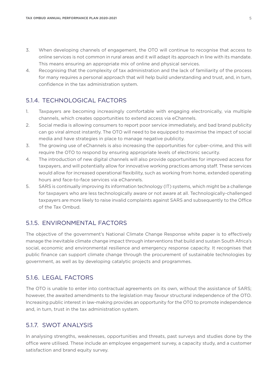- 3. When developing channels of engagement, the OTO will continue to recognise that access to online services is not common in rural areas and it will adapt its approach in line with its mandate. This means ensuring an appropriate mix of online and physical services.
- 4. Recognising that the complexity of tax administration and the lack of familiarity of the process for many requires a personal approach that will help build understanding and trust, and, in turn, confidence in the tax administration system.

#### 5.1.4. TECHNOLOGICAL FACTORS

- 1. Taxpayers are becoming increasingly comfortable with engaging electronically, via multiple channels, which creates opportunities to extend access via eChannels.
- 2. Social media is allowing consumers to report poor service immediately, and bad brand publicity can go viral almost instantly. The OTO will need to be equipped to maximise the impact of social media and have strategies in place to manage negative publicity.
- 3. The growing use of eChannels is also increasing the opportunities for cyber-crime, and this will require the OTO to respond by ensuring appropriate levels of electronic security.
- 4. The introduction of new digital channels will also provide opportunities for improved access for taxpayers, and will potentially allow for innovative working practices among staff. These services would allow for increased operational flexibility, such as working from home, extended operating hours and face-to-face services via eChannels.
- 5. SARS is continually improving its information technology (IT) systems, which might be a challenge for taxpayers who are less technologically aware or not aware at all. Technologically-challenged taxpayers are more likely to raise invalid complaints against SARS and subsequently to the Office of the Tax Ombud.

#### 5.1.5. ENVIRONMENTAL FACTORS

The objective of the government's National Climate Change Response white paper is to effectively manage the inevitable climate change impact through interventions that build and sustain South Africa's social, economic and environmental resilience and emergency response capacity. It recognises that public finance can support climate change through the procurement of sustainable technologies by government, as well as by developing catalytic projects and programmes.

#### 5.1.6. LEGAL FACTORS

The OTO is unable to enter into contractual agreements on its own, without the assistance of SARS; however, the awaited amendments to the legislation may favour structural independence of the OTO. Increasing public interest in law-making provides an opportunity for the OTO to promote independence and, in turn, trust in the tax administration system.

#### 5.1.7. SWOT ANALYSIS

In analysing strengths, weaknesses, opportunities and threats, past surveys and studies done by the office were utilised. These include an employee engagement survey, a capacity study, and a customer satisfaction and brand equity survey.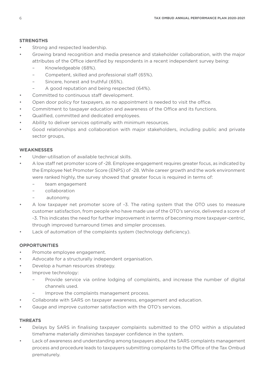#### **STRENGTHS**

- Strong and respected leadership.
- Growing brand recognition and media presence and stakeholder collaboration, with the major attributes of the Office identified by respondents in a recent independent survey being:
	- Knowledgeable (68%).
	- Competent, skilled and professional staff (65%).
	- Sincere, honest and truthful (65%).
	- A good reputation and being respected (64%).
- Committed to continuous staff development.
- Open door policy for taxpayers, as no appointment is needed to visit the office.
- Commitment to taxpayer education and awareness of the Office and its functions.
- Qualified, committed and dedicated employees.
- Ability to deliver services optimally with minimum resources.
- Good relationships and collaboration with major stakeholders, including public and private sector groups,

#### **WEAKNESSES**

- Under-utilisation of available technical skills.
- A low staff net promoter score of -28. Employee engagement requires greater focus, as indicated by the Employee Net Promoter Score (ENPS) of -28. While career growth and the work environment were ranked highly, the survey showed that greater focus is required in terms of:
	- team engagement
	- collaboration
	- autonomy.
- A low taxpayer net promoter score of -3. The rating system that the OTO uses to measure customer satisfaction, from people who have made use of the OTO's service, delivered a score of -3. This indicates the need for further improvement in terms of becoming more taxpayer-centric, through improved turnaround times and simpler processes.
- Lack of automation of the complaints system (technology deficiency).

#### **OPPORTUNITIES**

- Promote employee engagement.
- Advocate for a structurally independent organisation.
- Develop a human resources strategy.
- Improve technology:
	- Provide service via online lodging of complaints, and increase the number of digital channels used.
	- Improve the complaints management process.
- Collaborate with SARS on taxpayer awareness, engagement and education.
- Gauge and improve customer satisfaction with the OTO's services.

#### **THREATS**

- Delays by SARS in finalising taxpayer complaints submitted to the OTO within a stipulated timeframe materially diminishes taxpayer confidence in the system.
- Lack of awareness and understanding among taxpayers about the SARS complaints management process and procedure leads to taxpayers submitting complaints to the Office of the Tax Ombud prematurely.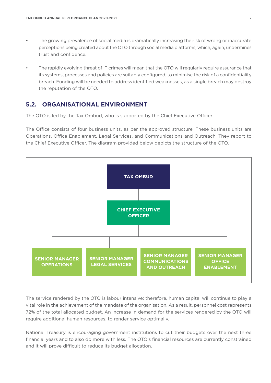- The growing prevalence of social media is dramatically increasing the risk of wrong or inaccurate perceptions being created about the OTO through social media platforms, which, again, undermines trust and confidence.
- The rapidly evolving threat of IT crimes will mean that the OTO will regularly require assurance that its systems, processes and policies are suitably configured, to minimise the risk of a confidentiality breach. Funding will be needed to address identified weaknesses, as a single breach may destroy the reputation of the OTO.

#### **5.2. ORGANISATIONAL ENVIRONMENT**

The OTO is led by the Tax Ombud, who is supported by the Chief Executive Officer.

The Office consists of four business units, as per the approved structure. These business units are Operations, Office Enablement, Legal Services, and Communications and Outreach. They report to the Chief Executive Officer. The diagram provided below depicts the structure of the OTO.



The service rendered by the OTO is labour intensive; therefore, human capital will continue to play a vital role in the achievement of the mandate of the organisation. As a result, personnel cost represents 72% of the total allocated budget. An increase in demand for the services rendered by the OTO will require additional human resources, to render service optimally.

National Treasury is encouraging government institutions to cut their budgets over the next three financial years and to also do more with less. The OTO's financial resources are currently constrained and it will prove difficult to reduce its budget allocation.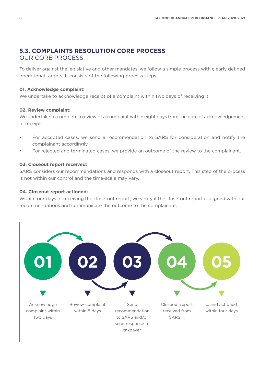#### **5.3. COMPLAINTS RESOLUTION CORE PROCESS** OUR CORE PROCESS

To deliver against the legislative and other mandates, we follow a simple process with clearly defined operational targets. It consists of the following process steps:

#### **01. Acknowledge complaint:**

We undertake to acknowledge receipt of a complaint within two days of receiving it.

#### **02. Review complaint:**

We undertake to complete a review of a complaint within eight days from the date of acknowledgement of receipt:

- For accepted cases, we send a recommendation to SARS for consideration and notify the complainant accordingly.
- For rejected and terminated cases, we provide an outcome of the review to the complainant.

#### **03. Closeout report received:**

SARS considers our recommendations and responds with a closeout report. This step of the process is not within our control and the time-scale may vary.

#### **04. Closeout report actioned:**

Within four days of receiving the close-out report, we verify if the close-out report is aligned with our recommendations and communicate the outcome to the complainant.

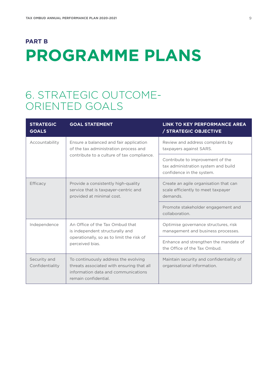## **PROGRAMME PLANS PART B**

### 6. STRATEGIC OUTCOME-ORIENTED GOALS

| <b>STRATEGIC</b><br><b>GOALS</b> | <b>GOAL STATEMENT</b>                                                                                                                            | <b>LINK TO KEY PERFORMANCE AREA</b><br>/ STRATEGIC OBJECTIVE                                         |  |  |
|----------------------------------|--------------------------------------------------------------------------------------------------------------------------------------------------|------------------------------------------------------------------------------------------------------|--|--|
| Accountability                   | Ensure a balanced and fair application<br>of the tax administration process and                                                                  | Review and address complaints by<br>taxpayers against SARS.                                          |  |  |
|                                  | contribute to a culture of tax compliance.                                                                                                       | Contribute to improvement of the<br>tax administration system and build<br>confidence in the system. |  |  |
| Efficacy                         | Provide a consistently high-quality<br>service that is taxpayer-centric and<br>provided at minimal cost.                                         | Create an agile organisation that can<br>scale efficiently to meet taxpayer<br>demands.              |  |  |
|                                  |                                                                                                                                                  | Promote stakeholder engagement and<br>collaboration.                                                 |  |  |
| Independence                     | An Office of the Tax Ombud that<br>is independent structurally and                                                                               | Optimise governance structures, risk<br>management and business processes.                           |  |  |
|                                  | operationally, so as to limit the risk of<br>perceived bias.                                                                                     | Enhance and strengthen the mandate of<br>the Office of the Tax Ombud.                                |  |  |
| Security and<br>Confidentiality  | To continuously address the evolving<br>threats associated with ensuring that all<br>information data and communications<br>remain confidential. | Maintain security and confidentiality of<br>organisational information.                              |  |  |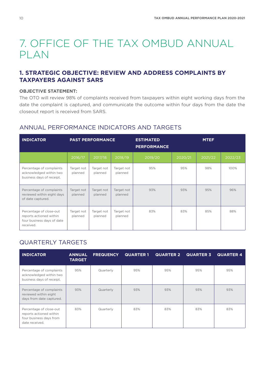### 7. OFFICE OF THE TAX OMBUD ANNUAL PLAN

#### **1. STRATEGIC OBJECTIVE: REVIEW AND ADDRESS COMPLAINTS BY TAXPAYERS AGAINST SARS**

#### **OBJECTIVE STATEMENT:**

The OTO will review 98% of complaints received from taxpayers within eight working days from the date the complaint is captured, and communicate the outcome within four days from the date the closeout report is received from SARS.

#### ANNUAL PERFORMANCE INDICATORS AND TARGETS

| <b>INDICATOR</b>                                                                              | <b>PAST PERFORMANCE</b> |                       | <b>ESTIMATED</b><br><b>PERFORMANCE</b> |         | <b>MTEF</b> |         |         |
|-----------------------------------------------------------------------------------------------|-------------------------|-----------------------|----------------------------------------|---------|-------------|---------|---------|
|                                                                                               | 2016/17                 | 2017/18               | 2018/19                                | 2019/20 | 2020/21     | 2021/22 | 2022/23 |
| Percentage of complaints<br>acknowledged within two<br>business days of receipt.              | Target not<br>planned   | Target not<br>planned | Target not<br>planned                  | 95%     | 95%         | 98%     | 100%    |
| Percentage of complaints<br>reviewed within eight days<br>of date captured.                   | Target not<br>planned   | Target not<br>planned | Target not<br>planned                  | 93%     | 93%         | 95%     | 96%     |
| Percentage of close-out<br>reports actioned within<br>four business days of date<br>received. | Target not<br>planned   | Target not<br>planned | Target not<br>planned                  | 83%     | 83%         | 85%     | 88%     |

#### QUARTERLY TARGETS

| <b>INDICATOR</b>                                                                                | <b>ANNUAL</b><br><b>TARGET</b> | <b>FREQUENCY</b> | <b>QUARTER 1</b> | <b>QUARTER 2</b> | <b>QUARTER 3</b> | <b>QUARTER 4</b> |
|-------------------------------------------------------------------------------------------------|--------------------------------|------------------|------------------|------------------|------------------|------------------|
| Percentage of complaints<br>acknowledged within two<br>business days of receipt.                | 95%                            | Quarterly        | 95%              | 95%              | 95%              | 95%              |
| Percentage of complaints<br>reviewed within eight<br>days from date captured.                   | 93%                            | Quarterly        | 93%              | 93%              | 93%              | 93%              |
| Percentage of close-out<br>reports actioned within<br>four business days from<br>date received. | 83%                            | Quarterly        | 83%              | 83%              | 83%              | 83%              |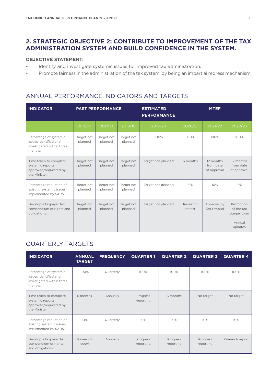#### **2. STRATEGIC OBJECTIVE 2: CONTRIBUTE TO IMPROVEMENT OF THE TAX ADMINISTRATION SYSTEM AND BUILD CONFIDENCE IN THE SYSTEM.**

#### **OBJECTIVE STATEMENT:**

- Identify and investigate systemic issues for improved tax administration.
- Promote fairness in the administration of the tax system, by being an impartial redress mechanism.

#### ANNUAL PERFORMANCE INDICATORS AND TARGETS

| <b>INDICATOR</b>                                                                        | <b>PAST PERFORMANCE</b> |                       | <b>ESTIMATED</b><br><b>PERFORMANCE</b> | <b>MTEF</b>        |                    |                                       |                                                            |
|-----------------------------------------------------------------------------------------|-------------------------|-----------------------|----------------------------------------|--------------------|--------------------|---------------------------------------|------------------------------------------------------------|
|                                                                                         | 2016/17                 | 2017/18               | 2018/19                                | 2019/20            | 2020/21            | 2021/22                               | 2022/23                                                    |
| Percentage of systemic<br>issues identified and<br>investigated within three<br>months. | Target not<br>planned   | Target not<br>planned | Target not<br>planned                  | 100%               | 100%               | 100%                                  | 100%                                                       |
| Time taken to complete<br>systemic reports<br>approved/requested by<br>the Minister.    | Target not<br>planned   | Target not<br>planned | Target not<br>planned                  | Target not planned | 6 months           | 12 months<br>from date<br>of approval | 12 months<br>from date<br>of approval                      |
| Percentage reduction of<br>existing systemic issues<br>implemented by SARS.             | Target not<br>planned   | Target not<br>planned | Target not<br>planned                  | Target not planned | 10%                | 10%                                   | 10%                                                        |
| Develop a taxpayer tax<br>compendium of rights and<br>obligations.                      | Target not<br>planned   | Target not<br>planned | Target not<br>planned                  | Target not planned | Research<br>report | Approval by<br>Tax Ombud              | Promotion<br>of the tax<br>compendium<br>Annual<br>updates |

#### QUARTERLY TARGETS

| <b>INDICATOR</b>                                                                        | <b>ANNUAL</b><br><b>TARGET</b> | <b>FREQUENCY</b> | <b>QUARTER 1</b>      | <b>QUARTER 2</b>      | <b>QUARTER 3</b>      | <b>QUARTER 4</b> |
|-----------------------------------------------------------------------------------------|--------------------------------|------------------|-----------------------|-----------------------|-----------------------|------------------|
| Percentage of systemic<br>issues identified and<br>investigated within three<br>months. | 100%                           | Quarterly        | 100%                  | 100%                  | 100%                  | 100%             |
| Time taken to complete<br>systemic reports<br>approved/requested by<br>the Minister.    | 6 months                       | Annually         | Progress<br>reporting | 6 months              | No target             | No target        |
| Percentage reduction of<br>existing systemic issues<br>implemented by SARS.             | 10%                            | Quarterly        | 10%                   | 10%                   | 10%                   | 10%              |
| Develop a taxpayer tax<br>compendium of rights<br>and obligations.                      | Research<br>report             | Annually         | Progress<br>reporting | Progress<br>reporting | Progress<br>reporting | Research report  |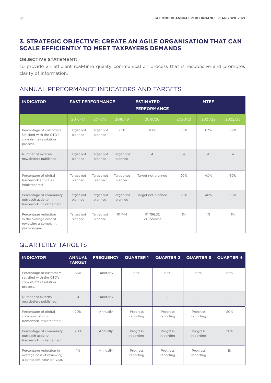#### **3. STRATEGIC OBJECTIVE: CREATE AN AGILE ORGANISATION THAT CAN SCALE EFFICIENTLY TO MEET TAXPAYERS DEMANDS**

#### **OBJECTIVE STATEMENT:**

To provide an efficient real-time quality communication process that is responsive and promotes clarity of information.

#### ANNUAL PERFORMANCE INDICATORS AND TARGETS

| <b>INDICATOR</b>                                                                          | <b>PAST PERFORMANCE</b> |                       | <b>ESTIMATED</b><br><b>PERFORMANCE</b> | <b>MTEF</b>             |                |                |                |
|-------------------------------------------------------------------------------------------|-------------------------|-----------------------|----------------------------------------|-------------------------|----------------|----------------|----------------|
|                                                                                           | 2016/17                 | 2017/18               | 2018/19                                | 2019/20                 | 2020/21        | 2021/22        | 2022/23        |
| Percentage of customers<br>satisfied with the OTO's<br>complaints resolution<br>process.  | Target not<br>planned   | Target not<br>planned | 73%                                    | 63%                     | 65%            | 67%            | 69%            |
| Number of external<br>newsletters published.                                              | Target not<br>planned   | Target not<br>planned | Target not<br>planned                  | $\overline{4}$          | $\overline{4}$ | $\overline{4}$ | $\overline{4}$ |
| Percentage of digital<br>framework activities<br>implemented.                             | Target not<br>planned   | Target not<br>planned | Target not<br>planned                  | Target not planned      | 20%            | 40%            | 60%            |
| Percentage of community<br>outreach activity<br>framework implemented.                    | Target not<br>planned   | Target not<br>planned | Target not<br>planned                  | Target not planned      | 20%            | 40%            | 60%            |
| Percentage reduction<br>in the average cost of<br>reviewing a complaint,<br>year-on-year. | Target not<br>planned   | Target not<br>planned | R1744                                  | R1796.32<br>3% increase | 1%             | 1%             | 1%             |

#### QUARTERLY TARGETS

| <b>INDICATOR</b>                                                                         | <b>ANNUAL</b><br><b>TARGET</b> | <b>FREQUENCY</b> | <b>QUARTER 1</b>      | <b>QUARTER 2</b>      | <b>QUARTER 3</b>      | <b>QUARTER 4</b> |
|------------------------------------------------------------------------------------------|--------------------------------|------------------|-----------------------|-----------------------|-----------------------|------------------|
| Percentage of customers<br>satisfied with the OTO's<br>complaints resolution<br>process. | 65%                            | Quarterly        | 65%                   | 65%                   | 65%                   | 65%              |
| Number of external<br>newsletters published.                                             | $\overline{\mathcal{L}}$       | Quarterly        |                       |                       |                       |                  |
| Percentage of digital<br>communications<br>framework implemented.                        | 20%                            | Annually         | Progress<br>reporting | Progress<br>reporting | Progress<br>reporting | 20%              |
| Percentage of community<br>outreach activity<br>framework implemented.                   | 20%                            | Annually         | Progress<br>reporting | Progress<br>reporting | Progress<br>reporting | 20%              |
| Percentage reduction in<br>average cost of reviewing<br>a complaint, year-on-year.       | 1%                             | Annually         | Progress<br>reporting | Progress<br>reporting | Progress<br>reporting | 1%               |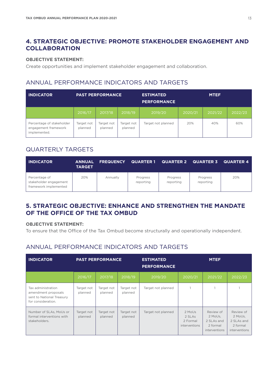#### **4. STRATEGIC OBJECTIVE: PROMOTE STAKEHOLDER ENGAGEMENT AND COLLABORATION**

#### **OBJECTIVE STATEMENT:**

Create opportunities and implement stakeholder engagement and collaboration.

#### ANNUAL PERFORMANCE INDICATORS AND TARGETS

| <b>INDICATOR</b>                                                  | <b>PAST PERFORMANCE</b> |                       | <b>ESTIMATED</b><br><b>PERFORMANCE</b> |                    |         |         |         |
|-------------------------------------------------------------------|-------------------------|-----------------------|----------------------------------------|--------------------|---------|---------|---------|
|                                                                   | 2016/17                 | 2017/18               | 2018/19                                | 2019/20            | 2020/21 | 2021/22 | 2022/23 |
| Percentage of stakeholder<br>engagement framework<br>implemented. | Target not<br>planned   | Target not<br>planned | Target not<br>planned                  | Target not planned | 20%     | 40%     | 60%     |

#### QUARTERLY TARGETS

| <b>INDICATOR</b>                                                 | <b>ANNUAL</b><br><b>TARGET</b> | <b>FREQUENCY</b> | <b>QUARTER 1</b>      |                       | <b>QUARTER 2 QUARTER 3</b> | <b>QUARTER 4</b> |
|------------------------------------------------------------------|--------------------------------|------------------|-----------------------|-----------------------|----------------------------|------------------|
| Percentage of<br>stakeholder engagement<br>framework implemented | 20%                            | Annually         | Progress<br>reporting | Progress<br>reporting | Progress<br>reporting      | 20%              |

#### **5. STRATEGIC OBJECTIVE: ENHANCE AND STRENGTHEN THE MANDATE OF THE OFFICE OF THE TAX OMBUD**

#### **OBJECTIVE STATEMENT:**

To ensure that the Office of the Tax Ombud become structurally and operationally independent.

#### ANNUAL PERFORMANCE INDICATORS AND TARGETS

| <b>INDICATOR</b>                                                                             | <b>PAST PERFORMANCE</b> |                       | <b>ESTIMATED</b><br><b>PERFORMANCE</b> |                    | <b>MTEF</b>                                   |                                                                 |                                                                 |
|----------------------------------------------------------------------------------------------|-------------------------|-----------------------|----------------------------------------|--------------------|-----------------------------------------------|-----------------------------------------------------------------|-----------------------------------------------------------------|
|                                                                                              | 2016/17                 | 2017/18               | 2018/19                                | 2019/20            | 2020/21                                       | 2021/22                                                         | 2022/23                                                         |
| Tax administration<br>amendment proposals<br>sent to National Treasury<br>for consideration. | Target not<br>planned   | Target not<br>planned | Target not<br>planned                  | Target not planned |                                               |                                                                 |                                                                 |
| Number of SLAs, MoUs or<br>formal interventions with<br>stakeholders.                        | Target not<br>planned   | Target not<br>planned | Target not<br>planned                  | Target not planned | 2 MoUs<br>2 SLAs<br>2 Formal<br>interventions | Review of<br>2 MoUs.<br>2 SLAs and<br>2 formal<br>interventions | Review of<br>2 MoUs.<br>2 SLAs and<br>2 formal<br>interventions |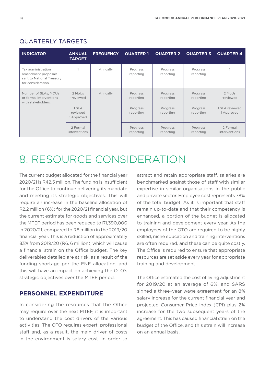| <b>INDICATOR</b>                                                                             | <b>ANNUAL</b><br><b>TARGET</b>  | <b>FREQUENCY</b> | <b>QUARTER 1</b>      | <b>QUARTER 2</b>      | <b>QUARTER 3</b>      | <b>QUARTER 4</b>             |
|----------------------------------------------------------------------------------------------|---------------------------------|------------------|-----------------------|-----------------------|-----------------------|------------------------------|
| Tax administration<br>amendment proposals<br>sent to National Treasury<br>for consideration. |                                 | Annually         | Progress<br>reporting | Progress<br>reporting | Progress<br>reporting |                              |
| Number of SLAs, MOUs<br>or formal interventions<br>with stakeholders.                        | 2 MoUs<br>-reviewed             | Annually         | Progress<br>reporting | Progress<br>reporting | Progress<br>reporting | 2 MoUs<br>-reviewed          |
|                                                                                              | 1 SLA<br>reviewed<br>1 Approved |                  | Progress<br>reporting | Progress<br>reporting | Progress<br>reporting | 1 SLA reviewed<br>1 Approved |
|                                                                                              | 2 Formal<br>interventions       |                  | Progress<br>reporting | Progress<br>reporting | Progress<br>reporting | 2 Formal<br>interventions    |

#### QUARTERLY TARGETS

## 8. RESOURCE CONSIDERATION

The current budget allocated for the financial year 2020/21 is R42.5 million. The funding is insufficient for the Office to continue delivering its mandate and meeting its strategic objectives. This will require an increase in the baseline allocation of R2.2 million (6%) for the 2020/21 financial year, but the current estimate for goods and services over the MTEF period has been reduced to R1,390,000 in 2020/21, compared to R8 million in the 2019/20 financial year. This is a reduction of approximately 83% from 2019/20 (R6, 6 million), which will cause a financial strain on the Office budget. The key deliverables detailed are at risk, as a result of the funding shortage per the ENE allocation, and this will have an impact on achieving the OTO's strategic objectives over the MTEF period.

#### **PERSONNEL EXPENDITURE**

In considering the resources that the Office may require over the next MTEF, it is important to understand the cost drivers of the various activities. The OTO requires expert, professional staff and, as a result, the main driver of costs in the environment is salary cost. In order to attract and retain appropriate staff, salaries are benchmarked against those of staff with similar expertise in similar organisations in the public and private sector. Employee cost represents 78% of the total budget. As it is important that staff remain up-to-date and that their competency is enhanced, a portion of the budget is allocated to training and development every year. As the employees of the OTO are required to be highly skilled, niche education and training interventions are often required, and these can be quite costly. The Office is required to ensure that appropriate resources are set aside every year for appropriate training and development.

The Office estimated the cost of living adjustment for 2019/20 at an average of 6%, and SARS signed a three–year wage agreement for an 8% salary increase for the current financial year and projected Consumer Price Index (CPI) plus 2% increase for the two subsequent years of the agreement. This has caused financial strain on the budget of the Office, and this strain will increase on an annual basis.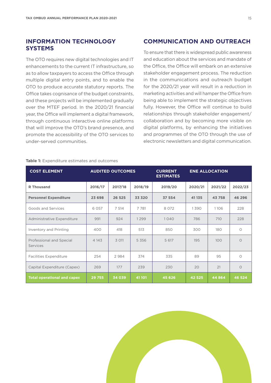#### **INFORMATION TECHNOLOGY SYSTEMS**

The OTO requires new digital technologies and IT enhancements to the current IT infrastructure, so as to allow taxpayers to access the Office through multiple digital entry points, and to enable the OTO to produce accurate statutory reports. The Office takes cognisance of the budget constraints, and these projects will be implemented gradually over the MTEF period. In the 2020/21 financial year, the Office will implement a digital framework, through continuous interactive online platforms that will improve the OTO's brand presence, and promote the accessibility of the OTO services to under-served communities.

#### **COMMUNICATION AND OUTREACH**

To ensure that there is widespread public awareness and education about the services and mandate of the Office, the Office will embark on an extensive stakeholder engagement process. The reduction in the communications and outreach budget for the 2020/21 year will result in a reduction in marketing activities and will hamper the Office from being able to implement the strategic objectives fully. However, the Office will continue to build relationships through stakeholder engagement/ collaboration and by becoming more visible on digital platforms, by enhancing the initiatives and programmes of the OTO through the use of electronic newsletters and digital communication.

| <b>COST ELEMENT</b>                         |         | <b>AUDITED OUTCOMES</b> |         | <b>CURRENT</b><br><b>ESTIMATES</b> |         | <b>ENE ALLOCATION</b> |           |
|---------------------------------------------|---------|-------------------------|---------|------------------------------------|---------|-----------------------|-----------|
| <b>R</b> Thousand                           | 2016/17 | 2017/18                 | 2018/19 | 2019/20                            | 2020/21 | 2021/22               | 2022/23   |
| <b>Personnel Expenditure</b>                | 23 698  | 26 525                  | 33 320  | 37 554                             | 41 135  | 43 758                | 46 296    |
| Goods and Services                          | 6 0 5 7 | 7 5 14                  | 7 7 8 1 | 8 0 7 2                            | 1390    | 1106                  | 228       |
| Administrative Expenditure                  | 991     | 924                     | 1299    | 1040                               | 786     | 710                   | 228       |
| Inventory and Printing                      | 400     | 418                     | 513     | 850                                | 300     | 180                   | $\circ$   |
| Professional and Special<br><b>Services</b> | 4 1 4 3 | 3 0 1 1                 | 5 3 5 6 | 5 617                              | 195     | 100                   | $\bigcap$ |
| <b>Facilities Expenditure</b>               | 254     | 2984                    | 374     | 335                                | 89      | 95                    | $\Omega$  |
| Capital Expenditure (Capex)                 | 269     | 177                     | 239     | 230                                | 20      | 21                    | $\circ$   |
| <b>Total operational and capex</b>          | 29 755  | 34 039                  | 41 101  | 45 6 26                            | 42 525  | 44 864                | 46 524    |

#### **Table 1:** Expenditure estimates and outcomes

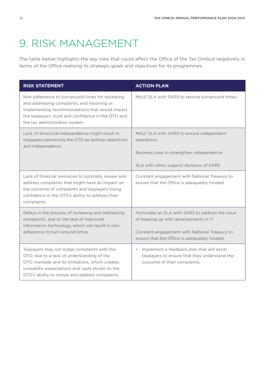## 9. RISK MANAGEMENT

The table below highlights the key risks that could affect the Office of the Tax Ombud negatively in terms of the Office realising its strategic goals and objectives for its programmes.

| <b>RISK STATEMENT</b>                                                                                                                                                                                                                             | <b>ACTION PLAN</b>                                                                                                                                                                         |
|---------------------------------------------------------------------------------------------------------------------------------------------------------------------------------------------------------------------------------------------------|--------------------------------------------------------------------------------------------------------------------------------------------------------------------------------------------|
| Non-adherence to turnaround times for reviewing<br>and addressing complaints, and resolving or<br>implementing recommendations that would impact<br>the taxpayers' trust and confidence in the OTO and<br>the tax administration system.          | MoU/ SLA with SARS to resolve turnaround times.                                                                                                                                            |
| Lack of structural independence might result in<br>taxpayers perceiving the OTO as lacking objectivity<br>and independence.                                                                                                                       | MoU/ SLA with SARS to ensure independent<br>operations.<br>Business case to strengthen independence.<br>SLA with other support divisions of SARS.                                          |
| Lack of financial resources to optimally review and<br>address complaints that might have an impact on<br>the outcome of complaints and taxpayers losing<br>confidence in the OTO's ability to address their<br>complaints.                       | Constant engagement with National Treasury to<br>ensure that the Office is adequately funded.                                                                                              |
| Delays in the process of reviewing and addressing<br>complaints, due to the lack of improved<br>information technology, which will result in non-<br>adherence to turn-around times.                                                              | Formulate an SLA with SARS to address the issue<br>of keeping up with developments in IT.<br>Constant engagement with National Treasury to<br>ensure that the Office is adequately funded. |
| Taxpayers may not lodge complaints with the<br>OTO, due to a lack of understanding of the<br>OTO mandate and its limitations, which creates<br>unrealistic expectations and casts doubt on the<br>OTO's ability to review and address complaints. | Implement a feedback plan that will assist<br>$\bullet$<br>taxpayers to ensure that they understand the<br>outcome of their complaints.                                                    |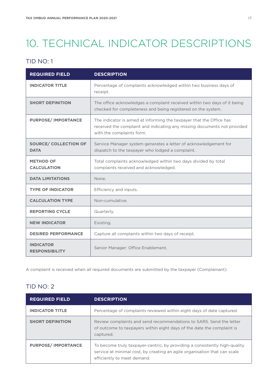## 10. TECHNICAL INDICATOR DESCRIPTIONS

#### TID NO: 1

| <b>REQUIRED FIELD</b>                       | <b>DESCRIPTION</b>                                                                                                                                                            |
|---------------------------------------------|-------------------------------------------------------------------------------------------------------------------------------------------------------------------------------|
| <b>INDICATOR TITLE</b>                      | Percentage of complaints acknowledged within two business days of<br>receipt.                                                                                                 |
| <b>SHORT DEFINITION</b>                     | The office acknowledges a complaint received within two days of it being<br>checked for completeness and being registered on the system.                                      |
| <b>PURPOSE/ IMPORTANCE</b>                  | The indicator is aimed at informing the taxpayer that the Office has<br>received the complaint and indicating any missing documents not provided<br>with the complaints form. |
| <b>SOURCE/ COLLECTION OF</b><br><b>DATA</b> | Service Manager system generates a letter of acknowledgement for<br>dispatch to the taxpayer who lodged a complaint.                                                          |
| <b>METHOD OF</b><br><b>CALCULATION</b>      | Total complaints acknowledged within two days divided by total<br>complaints received and acknowledged.                                                                       |
| <b>DATA LIMITATIONS</b>                     | None.                                                                                                                                                                         |
| <b>TYPE OF INDICATOR</b>                    | Efficiency and inputs.                                                                                                                                                        |
| <b>CALCULATION TYPE</b>                     | Non-cumulative.                                                                                                                                                               |
| <b>REPORTING CYCLE</b>                      | Quarterly.                                                                                                                                                                    |
| <b>NEW INDICATOR</b>                        | Existing.                                                                                                                                                                     |
| <b>DESIRED PERFORMANCE</b>                  | Capture all complaints within two days of receipt.                                                                                                                            |
| <b>INDICATOR</b><br><b>RESPONSIBILITY</b>   | Senior Manager: Office Enablement.                                                                                                                                            |

A complaint is received when all required documents are submitted by the taxpayer (Complainant).

| <b>REQUIRED FIELD</b>      | <b>DESCRIPTION</b>                                                                                                                                                                     |
|----------------------------|----------------------------------------------------------------------------------------------------------------------------------------------------------------------------------------|
| <b>INDICATOR TITLE</b>     | Percentage of complaints reviewed within eight days of date captured.                                                                                                                  |
| <b>SHORT DEFINITION</b>    | Review complaints and send recommendations to SARS. Send the letter<br>of outcome to taxpayers within eight days of the date the complaint is<br>captured.                             |
| <b>PURPOSE/ IMPORTANCE</b> | To become truly taxpayer-centric, by providing a consistently high-quality<br>service at minimal cost, by creating an agile organisation that can scale<br>efficiently to meet demand. |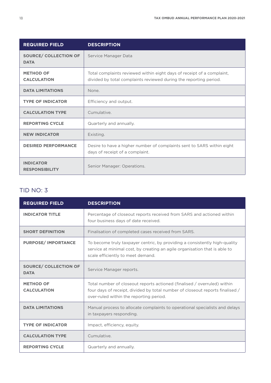| <b>REQUIRED FIELD</b>                       | <b>DESCRIPTION</b>                                                                                                                          |
|---------------------------------------------|---------------------------------------------------------------------------------------------------------------------------------------------|
| <b>SOURCE/ COLLECTION OF</b><br><b>DATA</b> | Service Manager Data                                                                                                                        |
| <b>METHOD OF</b><br><b>CALCULATION</b>      | Total complaints reviewed within eight days of receipt of a complaint,<br>divided by total complaints reviewed during the reporting period. |
| <b>DATA LIMITATIONS</b>                     | None.                                                                                                                                       |
| <b>TYPE OF INDICATOR</b>                    | Efficiency and output.                                                                                                                      |
| <b>CALCULATION TYPE</b>                     | Cumulative.                                                                                                                                 |
| <b>REPORTING CYCLE</b>                      | Quarterly and annually.                                                                                                                     |
| <b>NEW INDICATOR</b>                        | Existing.                                                                                                                                   |
| <b>DESIRED PERFORMANCE</b>                  | Desire to have a higher number of complaints sent to SARS within eight<br>days of receipt of a complaint.                                   |
| <b>INDICATOR</b><br><b>RESPONSIBILITY</b>   | Senior Manager: Operations.                                                                                                                 |

| <b>REQUIRED FIELD</b>                       | <b>DESCRIPTION</b>                                                                                                                                                                                   |
|---------------------------------------------|------------------------------------------------------------------------------------------------------------------------------------------------------------------------------------------------------|
| <b>INDICATOR TITLE</b>                      | Percentage of closeout reports received from SARS and actioned within<br>four business days of date received.                                                                                        |
| <b>SHORT DEFINITION</b>                     | Finalisation of completed cases received from SARS.                                                                                                                                                  |
| <b>PURPOSE/ IMPORTANCE</b>                  | To become truly taxpayer centric, by providing a consistently high-quality<br>service at minimal cost, by creating an agile organisation that is able to<br>scale efficiently to meet demand.        |
| <b>SOURCE/ COLLECTION OF</b><br><b>DATA</b> | Service Manager reports.                                                                                                                                                                             |
| <b>METHOD OF</b><br><b>CALCULATION</b>      | Total number of closeout reports actioned (finalised / overruled) within<br>four days of receipt, divided by total number of closeout reports finalised /<br>over-ruled within the reporting period. |
| <b>DATA LIMITATIONS</b>                     | Manual process to allocate complaints to operational specialists and delays<br>in taxpayers responding.                                                                                              |
| <b>TYPE OF INDICATOR</b>                    | Impact, efficiency, equity.                                                                                                                                                                          |
| <b>CALCULATION TYPE</b>                     | Cumulative.                                                                                                                                                                                          |
| <b>REPORTING CYCLE</b>                      | Quarterly and annually.                                                                                                                                                                              |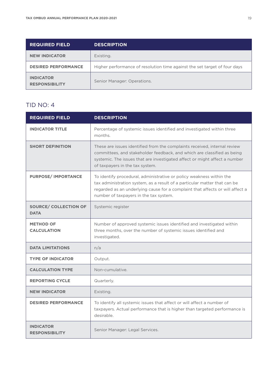| <b>REQUIRED FIELD</b>                     | <b>DESCRIPTION</b>                                                        |
|-------------------------------------------|---------------------------------------------------------------------------|
| <b>NEW INDICATOR</b>                      | Existing.                                                                 |
| <b>DESIRED PERFORMANCE</b>                | Higher performance of resolution time against the set target of four days |
| <b>INDICATOR</b><br><b>RESPONSIBILITY</b> | Senior Manager: Operations.                                               |

| <b>REQUIRED FIELD</b>                       | <b>DESCRIPTION</b>                                                                                                                                                                                                                                                           |
|---------------------------------------------|------------------------------------------------------------------------------------------------------------------------------------------------------------------------------------------------------------------------------------------------------------------------------|
| <b>INDICATOR TITLE</b>                      | Percentage of systemic issues identified and investigated within three<br>months.                                                                                                                                                                                            |
| <b>SHORT DEFINITION</b>                     | These are issues identified from the complaints received, internal review<br>committees, and stakeholder feedback, and which are classified as being<br>systemic. The issues that are investigated affect or might affect a number<br>of taxpayers in the tax system.        |
| <b>PURPOSE/ IMPORTANCE</b>                  | To identify procedural, administrative or policy weakness within the<br>tax administration system, as a result of a particular matter that can be<br>regarded as an underlying cause for a complaint that affects or will affect a<br>number of taxpayers in the tax system. |
| <b>SOURCE/ COLLECTION OF</b><br><b>DATA</b> | Systemic register                                                                                                                                                                                                                                                            |
| <b>METHOD OF</b><br><b>CALCULATION</b>      | Number of approved systemic issues identified and investigated within<br>three months, over the number of systemic issues identified and<br>investigated.                                                                                                                    |
| <b>DATA LIMITATIONS</b>                     | n/a                                                                                                                                                                                                                                                                          |
| <b>TYPE OF INDICATOR</b>                    | Output.                                                                                                                                                                                                                                                                      |
| <b>CALCULATION TYPE</b>                     | Non-cumulative.                                                                                                                                                                                                                                                              |
| <b>REPORTING CYCLE</b>                      | Quarterly.                                                                                                                                                                                                                                                                   |
| <b>NEW INDICATOR</b>                        | Existing.                                                                                                                                                                                                                                                                    |
| <b>DESIRED PERFORMANCE</b>                  | To identify all systemic issues that affect or will affect a number of<br>taxpayers. Actual performance that is higher than targeted performance is<br>desirable.                                                                                                            |
| <b>INDICATOR</b><br><b>RESPONSIBILITY</b>   | Senior Manager: Legal Services.                                                                                                                                                                                                                                              |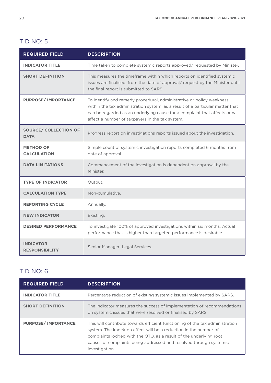| <b>REQUIRED FIELD</b>                       | <b>DESCRIPTION</b>                                                                                                                                                                                                                                                                      |
|---------------------------------------------|-----------------------------------------------------------------------------------------------------------------------------------------------------------------------------------------------------------------------------------------------------------------------------------------|
| <b>INDICATOR TITLE</b>                      | Time taken to complete systemic reports approved/ requested by Minister.                                                                                                                                                                                                                |
| <b>SHORT DEFINITION</b>                     | This measures the timeframe within which reports on identified systemic<br>issues are finalised, from the date of approval/ request by the Minister until<br>the final report is submitted to SARS.                                                                                     |
| <b>PURPOSE/ IMPORTANCE</b>                  | To identify and remedy procedural, administrative or policy weakness<br>within the tax administration system, as a result of a particular matter that<br>can be regarded as an underlying cause for a complaint that affects or will<br>affect a number of taxpayers in the tax system. |
| <b>SOURCE/ COLLECTION OF</b><br><b>DATA</b> | Progress report on investigations reports issued about the investigation.                                                                                                                                                                                                               |
| <b>METHOD OF</b><br><b>CALCULATION</b>      | Simple count of systemic investigation reports completed 6 months from<br>date of approval.                                                                                                                                                                                             |
| <b>DATA LIMITATIONS</b>                     | Commencement of the investigation is dependent on approval by the<br>Minister.                                                                                                                                                                                                          |
| <b>TYPE OF INDICATOR</b>                    | Output.                                                                                                                                                                                                                                                                                 |
| <b>CALCULATION TYPE</b>                     | Non-cumulative.                                                                                                                                                                                                                                                                         |
| <b>REPORTING CYCLE</b>                      | Annually.                                                                                                                                                                                                                                                                               |
| <b>NEW INDICATOR</b>                        | Existing.                                                                                                                                                                                                                                                                               |
| <b>DESIRED PERFORMANCE</b>                  | To investigate 100% of approved investigations within six months. Actual<br>performance that is higher than targeted performance is desirable.                                                                                                                                          |
| <b>INDICATOR</b><br><b>RESPONSIBILITY</b>   | Senior Manager: Legal Services.                                                                                                                                                                                                                                                         |

| <b>REQUIRED FIELD</b>      | <b>DESCRIPTION</b>                                                                                                                                                                                                                                                                                             |
|----------------------------|----------------------------------------------------------------------------------------------------------------------------------------------------------------------------------------------------------------------------------------------------------------------------------------------------------------|
| <b>INDICATOR TITLE</b>     | Percentage reduction of existing systemic issues implemented by SARS.                                                                                                                                                                                                                                          |
| <b>SHORT DEFINITION</b>    | The indicator measures the success of implementation of recommendations<br>on systemic issues that were resolved or finalised by SARS.                                                                                                                                                                         |
| <b>PURPOSE/ IMPORTANCE</b> | This will contribute towards efficient functioning of the tax administration<br>system. The knock-on effect will be a reduction in the number of<br>complaints lodged with the OTO, as a result of the underlying root<br>causes of complaints being addressed and resolved through systemic<br>investigation. |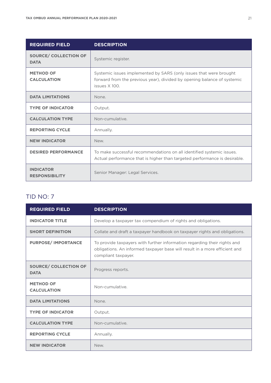| <b>REQUIRED FIELD</b>                       | <b>DESCRIPTION</b>                                                                                                                                             |
|---------------------------------------------|----------------------------------------------------------------------------------------------------------------------------------------------------------------|
| <b>SOURCE/ COLLECTION OF</b><br><b>DATA</b> | Systemic register.                                                                                                                                             |
| <b>METHOD OF</b><br><b>CALCULATION</b>      | Systemic issues implemented by SARS (only issues that were brought<br>forward from the previous year), divided by opening balance of systemic<br>issues X 100. |
| <b>DATA LIMITATIONS</b>                     | None.                                                                                                                                                          |
| <b>TYPE OF INDICATOR</b>                    | Output.                                                                                                                                                        |
| <b>CALCULATION TYPE</b>                     | Non-cumulative.                                                                                                                                                |
| <b>REPORTING CYCLE</b>                      | Annually.                                                                                                                                                      |
| <b>NEW INDICATOR</b>                        | New.                                                                                                                                                           |
| <b>DESIRED PERFORMANCE</b>                  | To make successful recommendations on all identified systemic issues.<br>Actual performance that is higher than targeted performance is desirable.             |
| <b>INDICATOR</b><br><b>RESPONSIBILITY</b>   | Senior Manager: Legal Services.                                                                                                                                |

| <b>REQUIRED FIELD</b>                       | <b>DESCRIPTION</b>                                                                                                                                                            |
|---------------------------------------------|-------------------------------------------------------------------------------------------------------------------------------------------------------------------------------|
| <b>INDICATOR TITLE</b>                      | Develop a taxpayer tax compendium of rights and obligations.                                                                                                                  |
| <b>SHORT DEFINITION</b>                     | Collate and draft a taxpayer handbook on taxpayer rights and obligations.                                                                                                     |
| <b>PURPOSE/ IMPORTANCE</b>                  | To provide taxpayers with further information regarding their rights and<br>obligations. An informed taxpayer base will result in a more efficient and<br>compliant taxpayer. |
| <b>SOURCE/ COLLECTION OF</b><br><b>DATA</b> | Progress reports.                                                                                                                                                             |
| <b>METHOD OF</b><br><b>CALCULATION</b>      | Non-cumulative.                                                                                                                                                               |
| <b>DATA LIMITATIONS</b>                     | None.                                                                                                                                                                         |
| <b>TYPE OF INDICATOR</b>                    | Output.                                                                                                                                                                       |
| <b>CALCULATION TYPE</b>                     | Non-cumulative.                                                                                                                                                               |
| <b>REPORTING CYCLE</b>                      | Annually.                                                                                                                                                                     |
| <b>NEW INDICATOR</b>                        | New.                                                                                                                                                                          |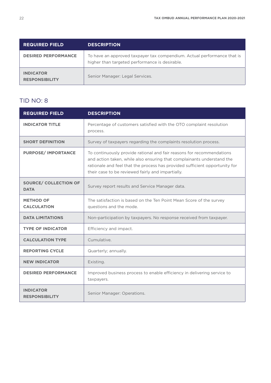| <b>REQUIRED FIELD</b>                     | <b>DESCRIPTION</b>                                                                                                        |
|-------------------------------------------|---------------------------------------------------------------------------------------------------------------------------|
| <b>DESIRED PERFORMANCE</b>                | To have an approved taxpayer tax compendium. Actual performance that is<br>higher than targeted performance is desirable. |
| <b>INDICATOR</b><br><b>RESPONSIBILITY</b> | Senior Manager: Legal Services.                                                                                           |

| <b>REQUIRED FIELD</b>                       | <b>DESCRIPTION</b>                                                                                                                                                                                                                                                                  |
|---------------------------------------------|-------------------------------------------------------------------------------------------------------------------------------------------------------------------------------------------------------------------------------------------------------------------------------------|
| <b>INDICATOR TITLE</b>                      | Percentage of customers satisfied with the OTO complaint resolution<br>process.                                                                                                                                                                                                     |
| <b>SHORT DEFINITION</b>                     | Survey of taxpayers regarding the complaints resolution process.                                                                                                                                                                                                                    |
| <b>PURPOSE/ IMPORTANCE</b>                  | To continuously provide rational and fair reasons for recommendations<br>and action taken, while also ensuring that complainants understand the<br>rationale and feel that the process has provided sufficient opportunity for<br>their case to be reviewed fairly and impartially. |
| <b>SOURCE/ COLLECTION OF</b><br><b>DATA</b> | Survey report results and Service Manager data.                                                                                                                                                                                                                                     |
| <b>METHOD OF</b><br><b>CALCULATION</b>      | The satisfaction is based on the Ten Point Mean Score of the survey<br>questions and the mode.                                                                                                                                                                                      |
| <b>DATA LIMITATIONS</b>                     | Non-participation by taxpayers. No response received from taxpayer.                                                                                                                                                                                                                 |
| <b>TYPE OF INDICATOR</b>                    | Efficiency and impact.                                                                                                                                                                                                                                                              |
| <b>CALCULATION TYPE</b>                     | Cumulative.                                                                                                                                                                                                                                                                         |
| <b>REPORTING CYCLE</b>                      | Quarterly; annually.                                                                                                                                                                                                                                                                |
| <b>NEW INDICATOR</b>                        | Existing.                                                                                                                                                                                                                                                                           |
| <b>DESIRED PERFORMANCE</b>                  | Improved business process to enable efficiency in delivering service to<br>taxpayers.                                                                                                                                                                                               |
| <b>INDICATOR</b><br><b>RESPONSIBILITY</b>   | Senior Manager: Operations.                                                                                                                                                                                                                                                         |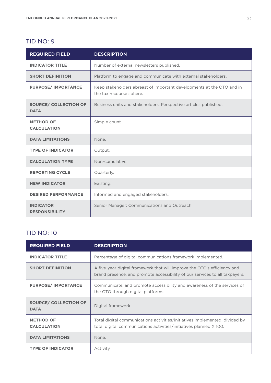| <b>REQUIRED FIELD</b>                       | <b>DESCRIPTION</b>                                                                                |
|---------------------------------------------|---------------------------------------------------------------------------------------------------|
| <b>INDICATOR TITLE</b>                      | Number of external newsletters published.                                                         |
| <b>SHORT DEFINITION</b>                     | Platform to engage and communicate with external stakeholders.                                    |
| <b>PURPOSE/ IMPORTANCE</b>                  | Keep stakeholders abreast of important developments at the OTO and in<br>the tax recourse sphere. |
| <b>SOURCE/ COLLECTION OF</b><br><b>DATA</b> | Business units and stakeholders. Perspective articles published.                                  |
| <b>METHOD OF</b><br><b>CALCULATION</b>      | Simple count.                                                                                     |
| <b>DATA LIMITATIONS</b>                     | None.                                                                                             |
| <b>TYPE OF INDICATOR</b>                    | Output.                                                                                           |
| <b>CALCULATION TYPE</b>                     | Non-cumulative.                                                                                   |
| <b>REPORTING CYCLE</b>                      | Quarterly.                                                                                        |
| <b>NEW INDICATOR</b>                        | Existing.                                                                                         |
| <b>DESIRED PERFORMANCE</b>                  | Informed and engaged stakeholders.                                                                |
| <b>INDICATOR</b><br><b>RESPONSIBILITY</b>   | Senior Manager: Communications and Outreach                                                       |

| <b>REQUIRED FIELD</b>                       | <b>DESCRIPTION</b>                                                                                                                                      |
|---------------------------------------------|---------------------------------------------------------------------------------------------------------------------------------------------------------|
| <b>INDICATOR TITLE</b>                      | Percentage of digital communications framework implemented.                                                                                             |
| <b>SHORT DEFINITION</b>                     | A five-year digital framework that will improve the OTO's efficiency and<br>brand presence, and promote accessibility of our services to all taxpayers. |
| <b>PURPOSE/ IMPORTANCE</b>                  | Communicate, and promote accessibility and awareness of the services of<br>the OTO through digital platforms.                                           |
| <b>SOURCE/ COLLECTION OF</b><br><b>DATA</b> | Digital framework.                                                                                                                                      |
| <b>METHOD OF</b><br><b>CALCULATION</b>      | Total digital communications activities/initiatives implemented, divided by<br>total digital communications activities/initiatives planned X 100.       |
| <b>DATA LIMITATIONS</b>                     | None.                                                                                                                                                   |
| <b>TYPE OF INDICATOR</b>                    | Activity.                                                                                                                                               |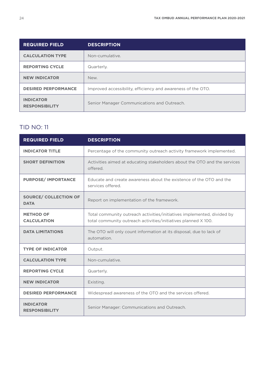| <b>REQUIRED FIELD</b>                     | <b>DESCRIPTION</b>                                           |
|-------------------------------------------|--------------------------------------------------------------|
| <b>CALCULATION TYPE</b>                   | Non-cumulative.                                              |
| <b>REPORTING CYCLE</b>                    | Quarterly.                                                   |
| <b>NEW INDICATOR</b>                      | New.                                                         |
| <b>DESIRED PERFORMANCE</b>                | Improved accessibility, efficiency and awareness of the OTO. |
| <b>INDICATOR</b><br><b>RESPONSIBILITY</b> | Senior Manager Communications and Outreach.                  |

| <b>REQUIRED FIELD</b>                       | <b>DESCRIPTION</b>                                                                                                                        |
|---------------------------------------------|-------------------------------------------------------------------------------------------------------------------------------------------|
| <b>INDICATOR TITLE</b>                      | Percentage of the community outreach activity framework implemented.                                                                      |
| <b>SHORT DEFINITION</b>                     | Activities aimed at educating stakeholders about the OTO and the services<br>offered.                                                     |
| <b>PURPOSE/ IMPORTANCE</b>                  | Educate and create awareness about the existence of the OTO and the<br>services offered.                                                  |
| <b>SOURCE/ COLLECTION OF</b><br><b>DATA</b> | Report on implementation of the framework.                                                                                                |
| <b>METHOD OF</b><br><b>CALCULATION</b>      | Total community outreach activities/initiatives implemented, divided by<br>total community outreach activities/initiatives planned X 100. |
| <b>DATA LIMITATIONS</b>                     | The OTO will only count information at its disposal, due to lack of<br>automation.                                                        |
| <b>TYPE OF INDICATOR</b>                    | Output.                                                                                                                                   |
| <b>CALCULATION TYPE</b>                     | Non-cumulative.                                                                                                                           |
| <b>REPORTING CYCLE</b>                      | Quarterly.                                                                                                                                |
| <b>NEW INDICATOR</b>                        | Existing.                                                                                                                                 |
| <b>DESIRED PERFORMANCE</b>                  | Widespread awareness of the OTO and the services offered.                                                                                 |
| <b>INDICATOR</b><br><b>RESPONSIBILITY</b>   | Senior Manager: Communications and Outreach.                                                                                              |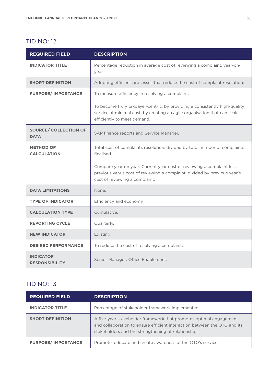| <b>REQUIRED FIELD</b>                       | <b>DESCRIPTION</b>                                                                                                                                                                     |
|---------------------------------------------|----------------------------------------------------------------------------------------------------------------------------------------------------------------------------------------|
| <b>INDICATOR TITLE</b>                      | Percentage reduction in average cost of reviewing a complaint, year-on-<br>year.                                                                                                       |
| <b>SHORT DEFINITION</b>                     | Adopting efficient processes that reduce the cost of complaint resolution.                                                                                                             |
| <b>PURPOSE/ IMPORTANCE</b>                  | To measure efficiency in resolving a complaint.                                                                                                                                        |
|                                             | To become truly taxpayer-centric, by providing a consistently high-quality<br>service at minimal cost, by creating an agile organisation that can scale<br>efficiently to meet demand. |
| <b>SOURCE/ COLLECTION OF</b><br><b>DATA</b> | SAP finance reports and Service Manager.                                                                                                                                               |
| <b>METHOD OF</b><br><b>CALCULATION</b>      | Total cost of complaints resolution, divided by total number of complaints<br>finalised.                                                                                               |
|                                             | Compare year on year: Current year cost of reviewing a complaint less<br>previous year's cost of reviewing a complaint, divided by previous year's<br>cost of reviewing a complaint.   |
| <b>DATA LIMITATIONS</b>                     | None.                                                                                                                                                                                  |
| <b>TYPE OF INDICATOR</b>                    | Efficiency and economy                                                                                                                                                                 |
| <b>CALCULATION TYPE</b>                     | Cumulative.                                                                                                                                                                            |
| <b>REPORTING CYCLE</b>                      | Quarterly.                                                                                                                                                                             |
| <b>NEW INDICATOR</b>                        | Existing.                                                                                                                                                                              |
| <b>DESIRED PERFORMANCE</b>                  | To reduce the cost of resolving a complaint.                                                                                                                                           |
| <b>INDICATOR</b><br><b>RESPONSIBILITY</b>   | Senior Manager: Office Enablement.                                                                                                                                                     |

| <b>REQUIRED FIELD</b>     | <b>DESCRIPTION</b>                                                                                                                                                                                      |
|---------------------------|---------------------------------------------------------------------------------------------------------------------------------------------------------------------------------------------------------|
| <b>INDICATOR TITLE</b>    | Percentage of stakeholder framework implemented.                                                                                                                                                        |
| <b>SHORT DEFINITION</b>   | A five-year stakeholder framework that promotes optimal engagement<br>and collaboration to ensure efficient interaction between the OTO and its<br>stakeholders and the strengthening of relationships. |
| <b>PURPOSE/IMPORTANCE</b> | Promote, educate and create awareness of the OTO's services.                                                                                                                                            |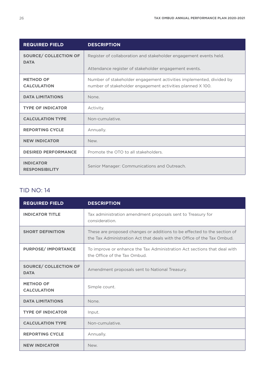| <b>REQUIRED FIELD</b>                     | <b>DESCRIPTION</b>                                                                                                                |
|-------------------------------------------|-----------------------------------------------------------------------------------------------------------------------------------|
| <b>SOURCE/ COLLECTION OF</b>              | Register of collaboration and stakeholder engagement events held.                                                                 |
| <b>DATA</b>                               | Attendance register of stakeholder engagement events.                                                                             |
| <b>METHOD OF</b><br><b>CALCULATION</b>    | Number of stakeholder engagement activities implemented, divided by<br>number of stakeholder engagement activities planned X 100. |
| <b>DATA LIMITATIONS</b>                   | None.                                                                                                                             |
| <b>TYPE OF INDICATOR</b>                  | Activity.                                                                                                                         |
| <b>CALCULATION TYPE</b>                   | Non-cumulative.                                                                                                                   |
| <b>REPORTING CYCLE</b>                    | Annually.                                                                                                                         |
| <b>NEW INDICATOR</b>                      | New.                                                                                                                              |
| <b>DESIRED PERFORMANCE</b>                | Promote the OTO to all stakeholders.                                                                                              |
| <b>INDICATOR</b><br><b>RESPONSIBILITY</b> | Senior Manager: Communications and Outreach.                                                                                      |

| <b>REQUIRED FIELD</b>                       | <b>DESCRIPTION</b>                                                                                                                                  |
|---------------------------------------------|-----------------------------------------------------------------------------------------------------------------------------------------------------|
| <b>INDICATOR TITLE</b>                      | Tax administration amendment proposals sent to Treasury for<br>consideration.                                                                       |
| <b>SHORT DEFINITION</b>                     | These are proposed changes or additions to be effected to the section of<br>the Tax Administration Act that deals with the Office of the Tax Ombud. |
| <b>PURPOSE/IMPORTANCE</b>                   | To improve or enhance the Tax Administration Act sections that deal with<br>the Office of the Tax Ombud.                                            |
| <b>SOURCE/ COLLECTION OF</b><br><b>DATA</b> | Amendment proposals sent to National Treasury.                                                                                                      |
| <b>METHOD OF</b><br><b>CALCULATION</b>      | Simple count.                                                                                                                                       |
| <b>DATA LIMITATIONS</b>                     | None.                                                                                                                                               |
| <b>TYPE OF INDICATOR</b>                    | Input.                                                                                                                                              |
| <b>CALCULATION TYPE</b>                     | Non-cumulative.                                                                                                                                     |
| <b>REPORTING CYCLE</b>                      | Annually.                                                                                                                                           |
| <b>NEW INDICATOR</b>                        | New.                                                                                                                                                |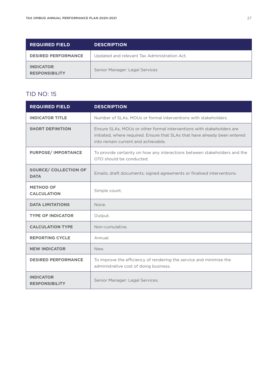| <b>REQUIRED FIELD</b>                     | <b>DESCRIPTION</b>                           |
|-------------------------------------------|----------------------------------------------|
| <b>DESIRED PERFORMANCE</b>                | Updated and relevant Tax Administration Act. |
| <b>INDICATOR</b><br><b>RESPONSIBILITY</b> | Senior Manager: Legal Services               |

| <b>REQUIRED FIELD</b>                       | <b>DESCRIPTION</b>                                                                                                                                                                         |
|---------------------------------------------|--------------------------------------------------------------------------------------------------------------------------------------------------------------------------------------------|
| <b>INDICATOR TITLE</b>                      | Number of SLAs, MOUs or formal interventions with stakeholders.                                                                                                                            |
| <b>SHORT DEFINITION</b>                     | Ensure SLAs, MOUs or other formal interventions with stakeholders are<br>initiated, where required. Ensure that SLAs that have already been entered<br>into remain current and achievable. |
| <b>PURPOSE/ IMPORTANCE</b>                  | To provide certainty on how any interactions between stakeholders and the<br>OTO should be conducted.                                                                                      |
| <b>SOURCE/ COLLECTION OF</b><br><b>DATA</b> | Emails; draft documents; signed agreements or finalised interventions.                                                                                                                     |
| <b>METHOD OF</b><br><b>CALCULATION</b>      | Simple count.                                                                                                                                                                              |
| <b>DATA LIMITATIONS</b>                     | None.                                                                                                                                                                                      |
| <b>TYPE OF INDICATOR</b>                    | Output.                                                                                                                                                                                    |
| <b>CALCULATION TYPE</b>                     | Non-cumulative.                                                                                                                                                                            |
| <b>REPORTING CYCLE</b>                      | Annual.                                                                                                                                                                                    |
| <b>NEW INDICATOR</b>                        | New.                                                                                                                                                                                       |
| <b>DESIRED PERFORMANCE</b>                  | To improve the efficiency of rendering the service and minimise the<br>administrative cost of doing business.                                                                              |
| <b>INDICATOR</b><br><b>RESPONSIBILITY</b>   | Senior Manager: Legal Services.                                                                                                                                                            |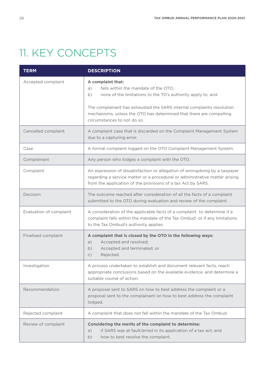## 11. KEY CONCEPTS

| <b>TERM</b>             | <b>DESCRIPTION</b>                                                                                                                                                                                                                                                                                                  |
|-------------------------|---------------------------------------------------------------------------------------------------------------------------------------------------------------------------------------------------------------------------------------------------------------------------------------------------------------------|
| Accepted complaint      | A complaint that:<br>falls within the mandate of the OTO;<br>a)<br>none of the limitations to the TO's authority apply to; and<br>b)<br>The complainant has exhausted the SARS internal complaints resolution<br>mechanisms, unless the OTO has determined that there are compelling<br>circumstances to not do so. |
| Cancelled complaint     | A complaint case that is discarded on the Complaint Management System<br>due to a capturing error.                                                                                                                                                                                                                  |
| Case                    | A formal complaint logged on the OTO Complaint Management System.                                                                                                                                                                                                                                                   |
| Complainant             | Any person who lodges a complaint with the OTO.                                                                                                                                                                                                                                                                     |
| Complaint               | An expression of dissatisfaction or allegation of wrongdoing by a taxpayer<br>regarding a service matter or a procedural or administrative matter arising<br>from the application of the provisions of a tax Act by SARS.                                                                                           |
| Decision                | The outcome reached after consideration of all the facts of a complaint<br>submitted to the OTO during evaluation and review of the complaint.                                                                                                                                                                      |
| Evaluation of complaint | A consideration of the applicable facts of a complaint to determine if a<br>complaint falls within the mandate of the Tax Ombud or if any limitations<br>to the Tax Ombud's authority applies.                                                                                                                      |
| Finalised complaint     | A complaint that is closed by the OTO in the following ways:<br>Accepted and resolved;<br>a)<br>Accepted and terminated; or<br>b)<br>Rejected.<br>$\mathsf{C}$ )                                                                                                                                                    |
| Investigation           | A process undertaken to establish and document relevant facts, reach<br>appropriate conclusions based on the available evidence, and determine a<br>suitable course of action.                                                                                                                                      |
| Recommendation          | A proposal sent to SARS on how to best address the complaint or a<br>proposal sent to the complainant on how to best address the complaint<br>lodged.                                                                                                                                                               |
| Rejected complaint      | A complaint that does not fall within the mandate of the Tax Ombud.                                                                                                                                                                                                                                                 |
| Review of complaint     | Considering the merits of the complaint to determine:<br>if SARS was at fault/erred in its application of a tax act; and<br>a)<br>how to best resolve the complaint.<br>b)                                                                                                                                          |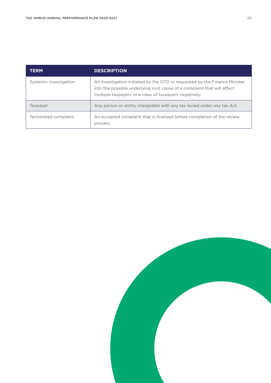| <b>TERM</b>            | <b>DESCRIPTION</b>                                                                                                                                                                                              |
|------------------------|-----------------------------------------------------------------------------------------------------------------------------------------------------------------------------------------------------------------|
| Systemic investigation | An investigation initiated by the OTO or requested by the Finance Minister<br>into the possible underlying root cause of a complaint that will affect<br>multiple taxpayers or a class of taxpayers negatively. |
| Taxpayer               | Any person or entity chargeable with any tax levied under any tax Act.                                                                                                                                          |
| Terminated complaint   | An accepted complaint that is finalised before completion of the review<br>process.                                                                                                                             |

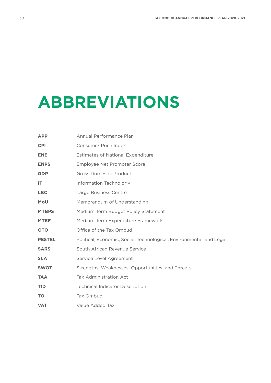# **ABBREVIATIONS**

| <b>APP</b>    | Annual Performance Plan                                              |
|---------------|----------------------------------------------------------------------|
| <b>CPI</b>    | <b>Consumer Price Index</b>                                          |
| <b>ENE</b>    | <b>Estimates of National Expenditure</b>                             |
| <b>ENPS</b>   | Employee Net Promoter Score                                          |
| <b>GDP</b>    | <b>Gross Domestic Product</b>                                        |
| IT            | Information Technology                                               |
| <b>LBC</b>    | Large Business Centre                                                |
| <b>MoU</b>    | Memorandum of Understanding                                          |
| <b>MTBPS</b>  | Medium Term Budget Policy Statement                                  |
| <b>MTEF</b>   | Medium Term Expenditure Framework                                    |
| <b>OTO</b>    | Office of the Tax Ombud                                              |
| <b>PESTEL</b> | Political, Economic, Social, Technological, Environmental, and Legal |
| <b>SARS</b>   | South African Revenue Service                                        |
| <b>SLA</b>    | Service Level Agreement                                              |
| <b>SWOT</b>   | Strengths, Weaknesses, Opportunities, and Threats                    |
| <b>TAA</b>    | Tax Administration Act                                               |
| <b>TID</b>    | <b>Technical Indicator Description</b>                               |
| TO.           | Tax Ombud                                                            |
| <b>VAT</b>    | Value Added Tax                                                      |